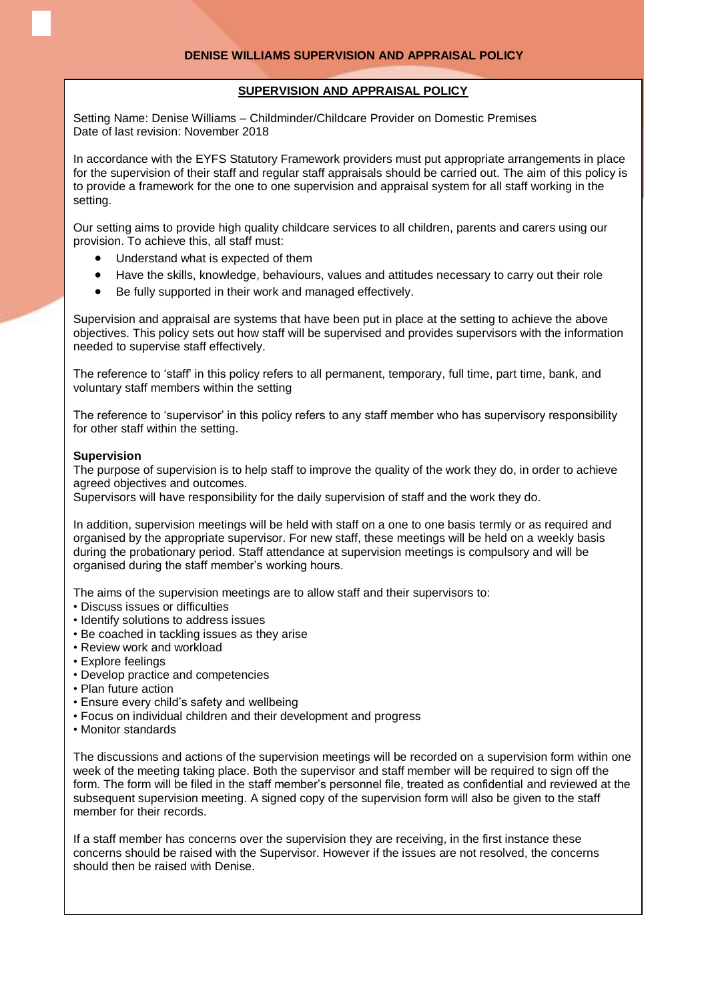## **SUPERVISION AND APPRAISAL POLICY**

Setting Name: Denise Williams – Childminder/Childcare Provider on Domestic Premises Date of last revision: November 2018

In accordance with the EYFS Statutory Framework providers must put appropriate arrangements in place for the supervision of their staff and regular staff appraisals should be carried out. The aim of this policy is to provide a framework for the one to one supervision and appraisal system for all staff working in the setting.

Our setting aims to provide high quality childcare services to all children, parents and carers using our provision. To achieve this, all staff must:

- Understand what is expected of them
- Have the skills, knowledge, behaviours, values and attitudes necessary to carry out their role
- Be fully supported in their work and managed effectively.

Supervision and appraisal are systems that have been put in place at the setting to achieve the above objectives. This policy sets out how staff will be supervised and provides supervisors with the information needed to supervise staff effectively.

The reference to 'staff' in this policy refers to all permanent, temporary, full time, part time, bank, and voluntary staff members within the setting

The reference to 'supervisor' in this policy refers to any staff member who has supervisory responsibility for other staff within the setting.

## **Supervision**

The purpose of supervision is to help staff to improve the quality of the work they do, in order to achieve agreed objectives and outcomes.

Supervisors will have responsibility for the daily supervision of staff and the work they do.

In addition, supervision meetings will be held with staff on a one to one basis termly or as required and organised by the appropriate supervisor. For new staff, these meetings will be held on a weekly basis during the probationary period. Staff attendance at supervision meetings is compulsory and will be organised during the staff member's working hours.

The aims of the supervision meetings are to allow staff and their supervisors to:

- Discuss issues or difficulties
- Identify solutions to address issues
- Be coached in tackling issues as they arise
- Review work and workload
- Explore feelings
- Develop practice and competencies
- Plan future action
- Ensure every child's safety and wellbeing
- Focus on individual children and their development and progress
- Monitor standards

The discussions and actions of the supervision meetings will be recorded on a supervision form within one week of the meeting taking place. Both the supervisor and staff member will be required to sign off the form. The form will be filed in the staff member's personnel file, treated as confidential and reviewed at the subsequent supervision meeting. A signed copy of the supervision form will also be given to the staff member for their records.

If a staff member has concerns over the supervision they are receiving, in the first instance these concerns should be raised with the Supervisor. However if the issues are not resolved, the concerns should then be raised with Denise.